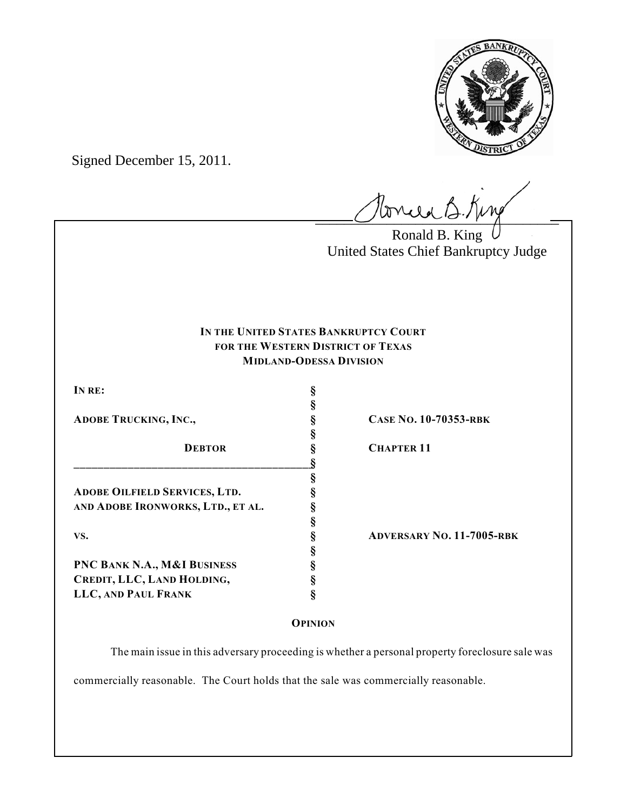

Signed December 15, 2011.

Honced B. King

Ronald B. King United States Chief Bankruptcy Judge

# **IN THE UNITED STATES BANKRUPTCY COURT FOR THE WESTERN DISTRICT OF TEXAS MIDLAND-ODESSA DIVISION**

| IN RE:                               | ş |   |
|--------------------------------------|---|---|
|                                      |   |   |
| <b>ADOBE TRUCKING, INC.,</b>         |   | C |
|                                      |   |   |
| <b>DEBTOR</b>                        |   |   |
|                                      |   |   |
|                                      |   |   |
| <b>ADOBE OILFIELD SERVICES, LTD.</b> |   |   |
| AND ADOBE IRONWORKS, LTD., ET AL.    |   |   |
|                                      |   |   |
| VS.                                  |   |   |
|                                      |   |   |
| PNC BANK N.A., M&I BUSINESS          |   |   |
| CREDIT, LLC, LAND HOLDING,           |   |   |
| LLC, AND PAUL FRANK                  |   |   |

**ADOBE TRUCKING, INC., § CASE NO. 10-70353-RBK**

**DEBTOR § CHAPTER 11**

**VS. § ADVERSARY NO. 11-7005-RBK**

**OPINION**

The main issue in this adversary proceeding is whether a personal property foreclosure sale was

commercially reasonable. The Court holds that the sale was commercially reasonable.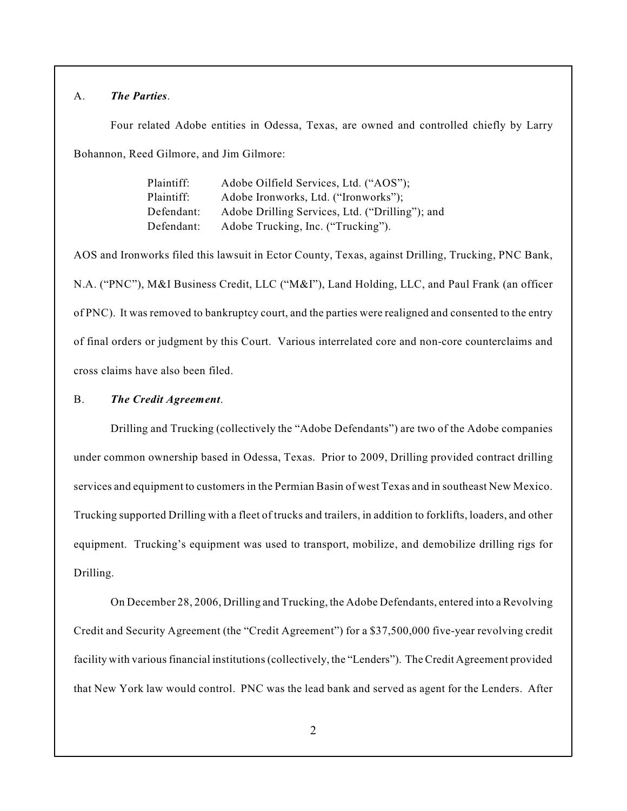# A. *The Parties*.

Four related Adobe entities in Odessa, Texas, are owned and controlled chiefly by Larry Bohannon, Reed Gilmore, and Jim Gilmore:

| Plaintiff: | Adobe Oilfield Services, Ltd. ("AOS");          |
|------------|-------------------------------------------------|
| Plaintiff: | Adobe Ironworks, Ltd. ("Ironworks");            |
| Defendant: | Adobe Drilling Services, Ltd. ("Drilling"); and |
| Defendant: | Adobe Trucking, Inc. ("Trucking").              |

AOS and Ironworks filed this lawsuit in Ector County, Texas, against Drilling, Trucking, PNC Bank, N.A. ("PNC"), M&I Business Credit, LLC ("M&I"), Land Holding, LLC, and Paul Frank (an officer of PNC). It was removed to bankruptcy court, and the parties were realigned and consented to the entry of final orders or judgment by this Court. Various interrelated core and non-core counterclaims and cross claims have also been filed.

### B. *The Credit Agreement*.

Drilling and Trucking (collectively the "Adobe Defendants") are two of the Adobe companies under common ownership based in Odessa, Texas. Prior to 2009, Drilling provided contract drilling services and equipment to customers in the Permian Basin of west Texas and in southeast New Mexico. Trucking supported Drilling with a fleet of trucks and trailers, in addition to forklifts, loaders, and other equipment. Trucking's equipment was used to transport, mobilize, and demobilize drilling rigs for Drilling.

On December 28, 2006, Drilling and Trucking, the Adobe Defendants, entered into a Revolving Credit and Security Agreement (the "Credit Agreement") for a \$37,500,000 five-year revolving credit facility with various financial institutions (collectively, the "Lenders"). The Credit Agreement provided that New York law would control. PNC was the lead bank and served as agent for the Lenders. After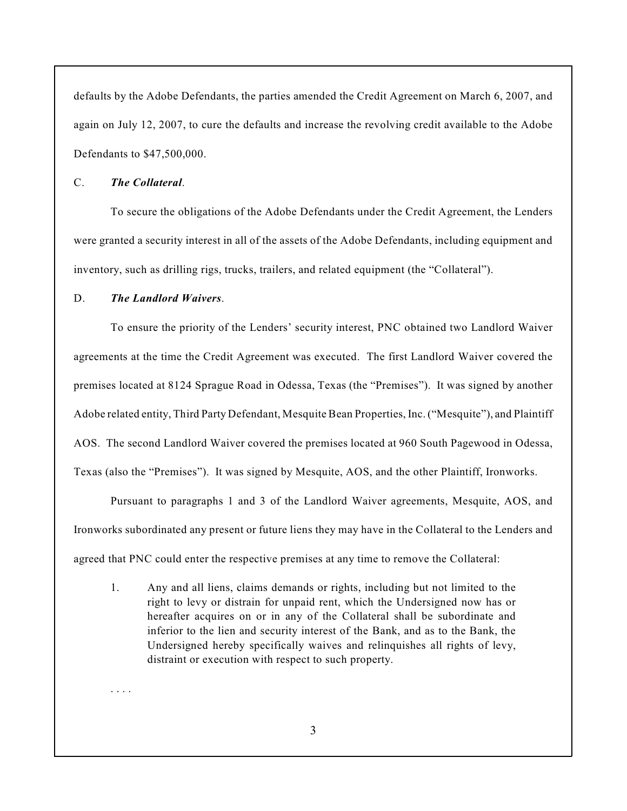defaults by the Adobe Defendants, the parties amended the Credit Agreement on March 6, 2007, and again on July 12, 2007, to cure the defaults and increase the revolving credit available to the Adobe Defendants to \$47,500,000.

# C. *The Collateral*.

To secure the obligations of the Adobe Defendants under the Credit Agreement, the Lenders were granted a security interest in all of the assets of the Adobe Defendants, including equipment and inventory, such as drilling rigs, trucks, trailers, and related equipment (the "Collateral").

### D. *The Landlord Waivers*.

. . . .

To ensure the priority of the Lenders' security interest, PNC obtained two Landlord Waiver agreements at the time the Credit Agreement was executed. The first Landlord Waiver covered the premises located at 8124 Sprague Road in Odessa, Texas (the "Premises"). It was signed by another Adobe related entity, Third Party Defendant, Mesquite Bean Properties, Inc. ("Mesquite"), and Plaintiff AOS. The second Landlord Waiver covered the premises located at 960 South Pagewood in Odessa, Texas (also the "Premises"). It was signed by Mesquite, AOS, and the other Plaintiff, Ironworks.

Pursuant to paragraphs 1 and 3 of the Landlord Waiver agreements, Mesquite, AOS, and Ironworks subordinated any present or future liens they may have in the Collateral to the Lenders and agreed that PNC could enter the respective premises at any time to remove the Collateral:

1. Any and all liens, claims demands or rights, including but not limited to the right to levy or distrain for unpaid rent, which the Undersigned now has or hereafter acquires on or in any of the Collateral shall be subordinate and inferior to the lien and security interest of the Bank, and as to the Bank, the Undersigned hereby specifically waives and relinquishes all rights of levy, distraint or execution with respect to such property.

3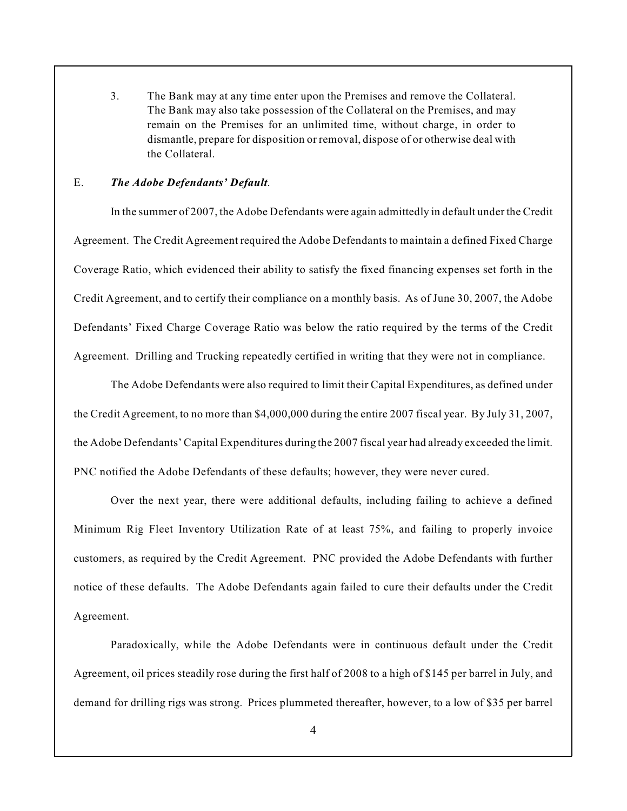3. The Bank may at any time enter upon the Premises and remove the Collateral. The Bank may also take possession of the Collateral on the Premises, and may remain on the Premises for an unlimited time, without charge, in order to dismantle, prepare for disposition or removal, dispose of or otherwise deal with the Collateral.

# E. *The Adobe Defendants' Default*.

In the summer of 2007, the Adobe Defendants were again admittedly in default under the Credit Agreement. The Credit Agreement required the Adobe Defendants to maintain a defined Fixed Charge Coverage Ratio, which evidenced their ability to satisfy the fixed financing expenses set forth in the Credit Agreement, and to certify their compliance on a monthly basis. As of June 30, 2007, the Adobe Defendants' Fixed Charge Coverage Ratio was below the ratio required by the terms of the Credit Agreement. Drilling and Trucking repeatedly certified in writing that they were not in compliance.

The Adobe Defendants were also required to limit their Capital Expenditures, as defined under the Credit Agreement, to no more than \$4,000,000 during the entire 2007 fiscal year. By July 31, 2007, the Adobe Defendants' Capital Expenditures during the 2007 fiscal year had already exceeded the limit. PNC notified the Adobe Defendants of these defaults; however, they were never cured.

Over the next year, there were additional defaults, including failing to achieve a defined Minimum Rig Fleet Inventory Utilization Rate of at least 75%, and failing to properly invoice customers, as required by the Credit Agreement. PNC provided the Adobe Defendants with further notice of these defaults. The Adobe Defendants again failed to cure their defaults under the Credit Agreement.

Paradoxically, while the Adobe Defendants were in continuous default under the Credit Agreement, oil prices steadily rose during the first half of 2008 to a high of \$145 per barrel in July, and demand for drilling rigs was strong. Prices plummeted thereafter, however, to a low of \$35 per barrel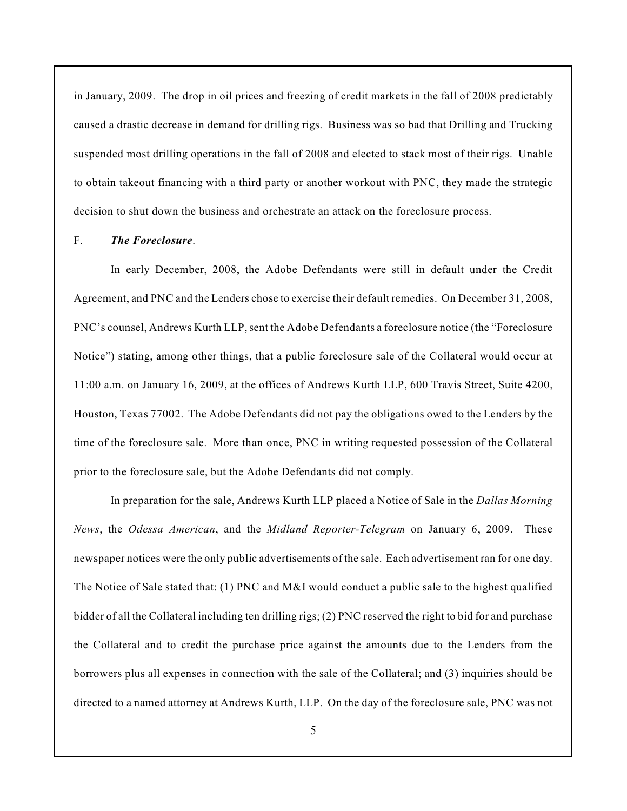in January, 2009. The drop in oil prices and freezing of credit markets in the fall of 2008 predictably caused a drastic decrease in demand for drilling rigs. Business was so bad that Drilling and Trucking suspended most drilling operations in the fall of 2008 and elected to stack most of their rigs. Unable to obtain takeout financing with a third party or another workout with PNC, they made the strategic decision to shut down the business and orchestrate an attack on the foreclosure process.

#### F. *The Foreclosure*.

In early December, 2008, the Adobe Defendants were still in default under the Credit Agreement, and PNC and the Lenders chose to exercise their default remedies. On December 31, 2008, PNC's counsel, Andrews Kurth LLP,sent the Adobe Defendants a foreclosure notice (the "Foreclosure Notice") stating, among other things, that a public foreclosure sale of the Collateral would occur at 11:00 a.m. on January 16, 2009, at the offices of Andrews Kurth LLP, 600 Travis Street, Suite 4200, Houston, Texas 77002. The Adobe Defendants did not pay the obligations owed to the Lenders by the time of the foreclosure sale. More than once, PNC in writing requested possession of the Collateral prior to the foreclosure sale, but the Adobe Defendants did not comply.

In preparation for the sale, Andrews Kurth LLP placed a Notice of Sale in the *Dallas Morning News*, the *Odessa American*, and the *Midland Reporter-Telegram* on January 6, 2009. These newspaper notices were the only public advertisements of the sale. Each advertisement ran for one day. The Notice of Sale stated that: (1) PNC and M&I would conduct a public sale to the highest qualified bidder of all the Collateral including ten drilling rigs; (2) PNC reserved the right to bid for and purchase the Collateral and to credit the purchase price against the amounts due to the Lenders from the borrowers plus all expenses in connection with the sale of the Collateral; and (3) inquiries should be directed to a named attorney at Andrews Kurth, LLP. On the day of the foreclosure sale, PNC was not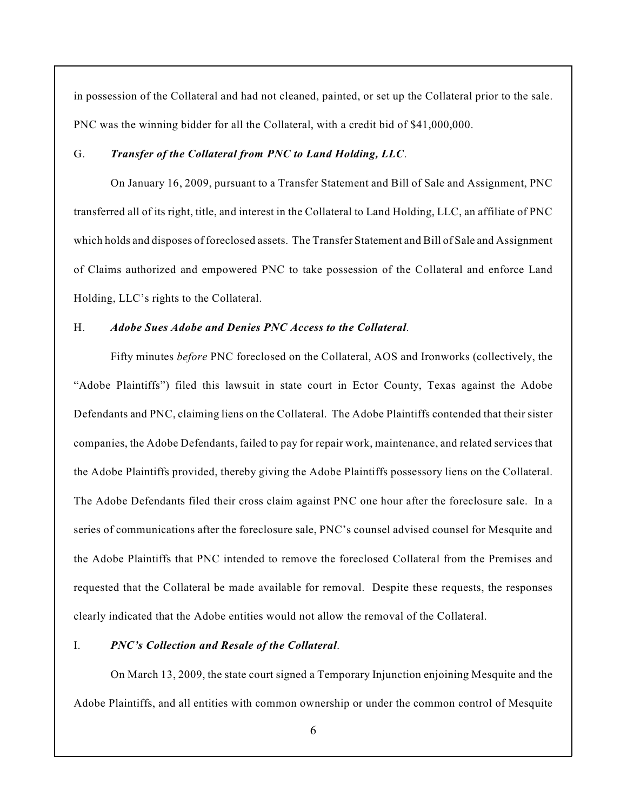in possession of the Collateral and had not cleaned, painted, or set up the Collateral prior to the sale. PNC was the winning bidder for all the Collateral, with a credit bid of \$41,000,000.

#### G. *Transfer of the Collateral from PNC to Land Holding, LLC*.

On January 16, 2009, pursuant to a Transfer Statement and Bill of Sale and Assignment, PNC transferred all of its right, title, and interest in the Collateral to Land Holding, LLC, an affiliate of PNC which holds and disposes of foreclosed assets. The Transfer Statement and Bill of Sale and Assignment of Claims authorized and empowered PNC to take possession of the Collateral and enforce Land Holding, LLC's rights to the Collateral.

#### H. *Adobe Sues Adobe and Denies PNC Access to the Collateral*.

Fifty minutes *before* PNC foreclosed on the Collateral, AOS and Ironworks (collectively, the "Adobe Plaintiffs") filed this lawsuit in state court in Ector County, Texas against the Adobe Defendants and PNC, claiming liens on the Collateral. The Adobe Plaintiffs contended that their sister companies, the Adobe Defendants, failed to pay for repair work, maintenance, and related services that the Adobe Plaintiffs provided, thereby giving the Adobe Plaintiffs possessory liens on the Collateral. The Adobe Defendants filed their cross claim against PNC one hour after the foreclosure sale. In a series of communications after the foreclosure sale, PNC's counsel advised counsel for Mesquite and the Adobe Plaintiffs that PNC intended to remove the foreclosed Collateral from the Premises and requested that the Collateral be made available for removal. Despite these requests, the responses clearly indicated that the Adobe entities would not allow the removal of the Collateral.

#### I. *PNC's Collection and Resale of the Collateral*.

On March 13, 2009, the state court signed a Temporary Injunction enjoining Mesquite and the Adobe Plaintiffs, and all entities with common ownership or under the common control of Mesquite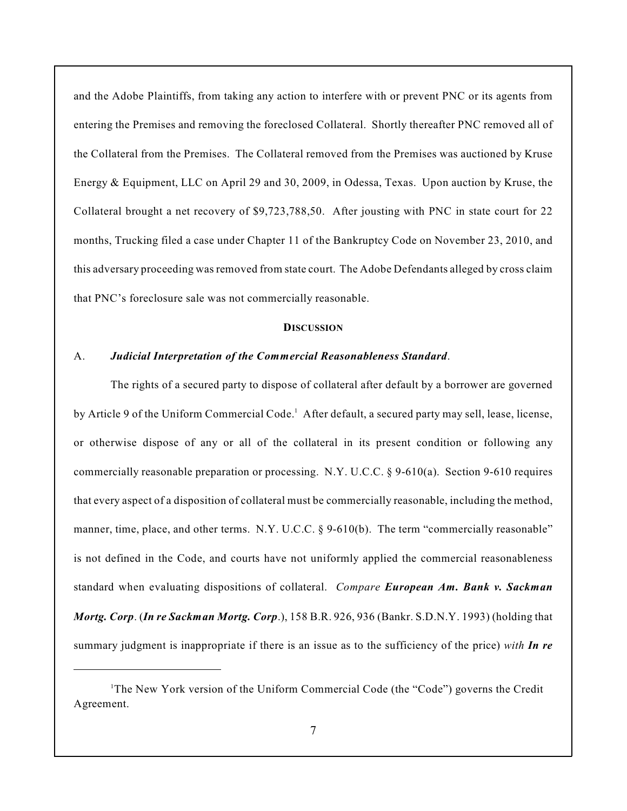and the Adobe Plaintiffs, from taking any action to interfere with or prevent PNC or its agents from entering the Premises and removing the foreclosed Collateral. Shortly thereafter PNC removed all of the Collateral from the Premises. The Collateral removed from the Premises was auctioned by Kruse Energy & Equipment, LLC on April 29 and 30, 2009, in Odessa, Texas. Upon auction by Kruse, the Collateral brought a net recovery of \$9,723,788,50. After jousting with PNC in state court for 22 months, Trucking filed a case under Chapter 11 of the Bankruptcy Code on November 23, 2010, and this adversary proceeding was removed from state court. The Adobe Defendants alleged by cross claim that PNC's foreclosure sale was not commercially reasonable.

# **DISCUSSION**

#### A. *Judicial Interpretation of the Commercial Reasonableness Standard*.

The rights of a secured party to dispose of collateral after default by a borrower are governed by Article 9 of the Uniform Commercial Code.<sup>1</sup> After default, a secured party may sell, lease, license, or otherwise dispose of any or all of the collateral in its present condition or following any commercially reasonable preparation or processing. N.Y. U.C.C. § 9-610(a). Section 9-610 requires that every aspect of a disposition of collateral must be commercially reasonable, including the method, manner, time, place, and other terms. N.Y. U.C.C. § 9-610(b). The term "commercially reasonable" is not defined in the Code, and courts have not uniformly applied the commercial reasonableness standard when evaluating dispositions of collateral. *Compare European Am. Bank v. Sackman Mortg. Corp*. (*In re Sackman Mortg. Corp*.), 158 B.R. 926, 936 (Bankr. S.D.N.Y. 1993) (holding that summary judgment is inappropriate if there is an issue as to the sufficiency of the price) *with In re*

 $T$ The New York version of the Uniform Commercial Code (the "Code") governs the Credit Agreement.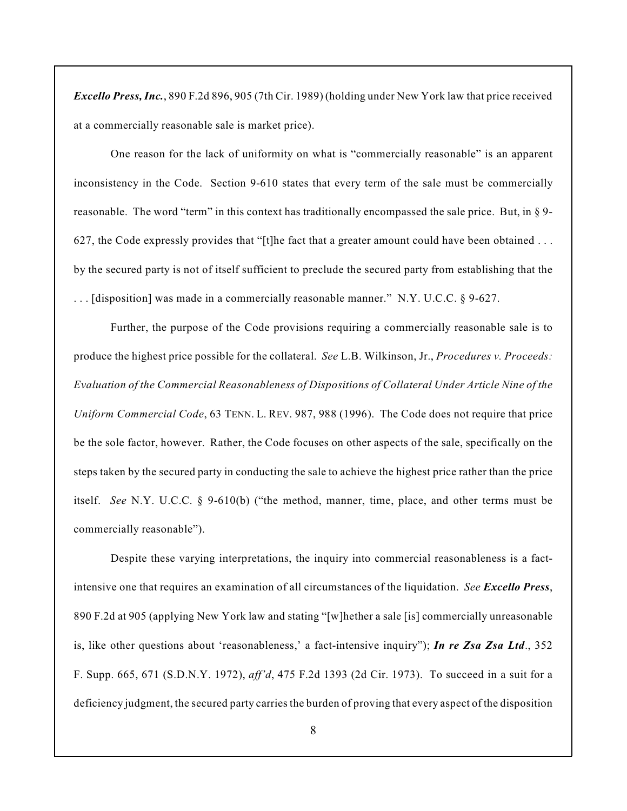*Excello Press, Inc.*, 890 F.2d 896, 905 (7th Cir. 1989) (holding under New York law that price received at a commercially reasonable sale is market price).

One reason for the lack of uniformity on what is "commercially reasonable" is an apparent inconsistency in the Code. Section 9-610 states that every term of the sale must be commercially reasonable. The word "term" in this context has traditionally encompassed the sale price. But, in § 9- 627, the Code expressly provides that "[t]he fact that a greater amount could have been obtained . . . by the secured party is not of itself sufficient to preclude the secured party from establishing that the . . . [disposition] was made in a commercially reasonable manner." N.Y. U.C.C. § 9-627.

Further, the purpose of the Code provisions requiring a commercially reasonable sale is to produce the highest price possible for the collateral. *See* L.B. Wilkinson, Jr., *Procedures v. Proceeds: Evaluation of the Commercial Reasonableness of Dispositions of Collateral Under Article Nine of the Uniform Commercial Code*, 63 TENN. L. REV. 987, 988 (1996). The Code does not require that price be the sole factor, however. Rather, the Code focuses on other aspects of the sale, specifically on the steps taken by the secured party in conducting the sale to achieve the highest price rather than the price itself. *See* N.Y. U.C.C. § 9-610(b) ("the method, manner, time, place, and other terms must be commercially reasonable").

Despite these varying interpretations, the inquiry into commercial reasonableness is a factintensive one that requires an examination of all circumstances of the liquidation. *See Excello Press*, 890 F.2d at 905 (applying New York law and stating "[w]hether a sale [is] commercially unreasonable is, like other questions about 'reasonableness,' a fact-intensive inquiry"); *In re Zsa Zsa Ltd*., 352 F. Supp. 665, 671 (S.D.N.Y. 1972), *aff'd*, 475 F.2d 1393 (2d Cir. 1973). To succeed in a suit for a deficiency judgment, the secured party carries the burden of proving that every aspect of the disposition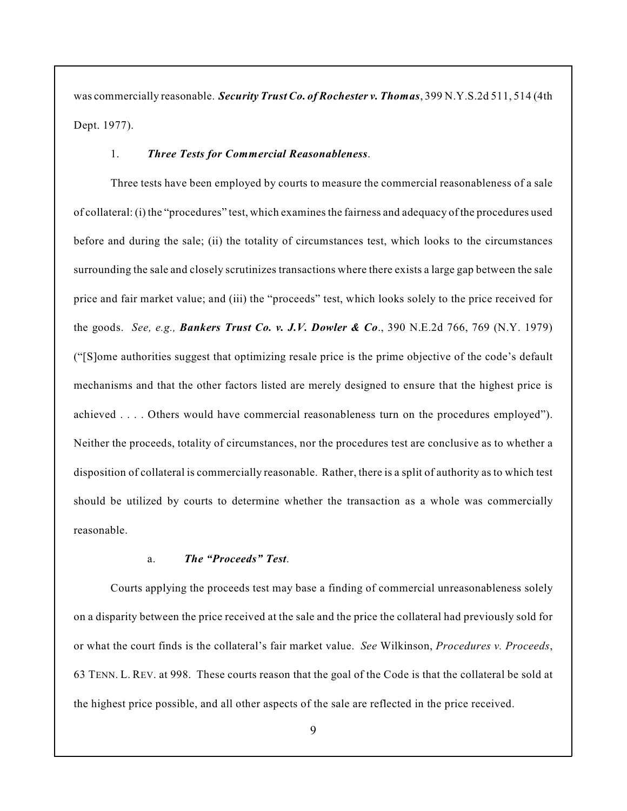was commercially reasonable. *Security Trust Co. of Rochester v. Thomas*, 399 N.Y.S.2d 511, 514 (4th Dept. 1977).

#### 1. *Three Tests for Commercial Reasonableness*.

Three tests have been employed by courts to measure the commercial reasonableness of a sale of collateral: (i) the "procedures" test, which examines the fairness and adequacy of the procedures used before and during the sale; (ii) the totality of circumstances test, which looks to the circumstances surrounding the sale and closely scrutinizes transactions where there exists a large gap between the sale price and fair market value; and (iii) the "proceeds" test, which looks solely to the price received for the goods. *See, e.g., Bankers Trust Co. v. J.V. Dowler & Co*., 390 N.E.2d 766, 769 (N.Y. 1979) ("[S]ome authorities suggest that optimizing resale price is the prime objective of the code's default mechanisms and that the other factors listed are merely designed to ensure that the highest price is achieved . . . . Others would have commercial reasonableness turn on the procedures employed"). Neither the proceeds, totality of circumstances, nor the procedures test are conclusive as to whether a disposition of collateral is commercially reasonable. Rather, there is a split of authority as to which test should be utilized by courts to determine whether the transaction as a whole was commercially reasonable.

# a. *The "Proceeds" Test*.

Courts applying the proceeds test may base a finding of commercial unreasonableness solely on a disparity between the price received at the sale and the price the collateral had previously sold for or what the court finds is the collateral's fair market value. *See* Wilkinson, *Procedures v. Proceeds*, 63 TENN. L. REV. at 998. These courts reason that the goal of the Code is that the collateral be sold at the highest price possible, and all other aspects of the sale are reflected in the price received.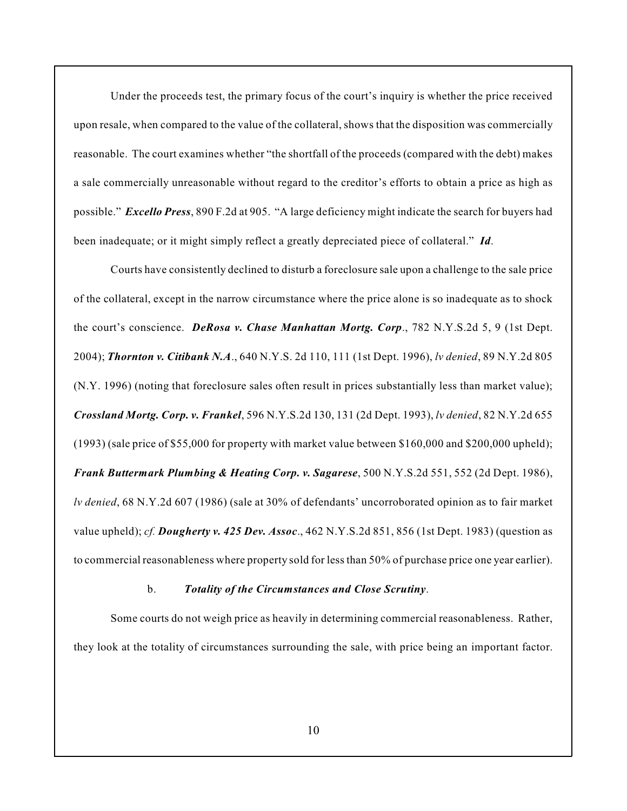Under the proceeds test, the primary focus of the court's inquiry is whether the price received upon resale, when compared to the value of the collateral, shows that the disposition was commercially reasonable. The court examines whether "the shortfall of the proceeds (compared with the debt) makes a sale commercially unreasonable without regard to the creditor's efforts to obtain a price as high as possible." *Excello Press*, 890 F.2d at 905. "A large deficiency might indicate the search for buyers had been inadequate; or it might simply reflect a greatly depreciated piece of collateral." *Id*.

Courts have consistently declined to disturb a foreclosure sale upon a challenge to the sale price of the collateral, except in the narrow circumstance where the price alone is so inadequate as to shock the court's conscience. *DeRosa v. Chase Manhattan Mortg. Corp*., 782 N.Y.S.2d 5, 9 (1st Dept. 2004); *Thornton v. Citibank N.A*., 640 N.Y.S. 2d 110, 111 (1st Dept. 1996), *lv denied*, 89 N.Y.2d 805 (N.Y. 1996) (noting that foreclosure sales often result in prices substantially less than market value); *Crossland Mortg. Corp. v. Frankel*, 596 N.Y.S.2d 130, 131 (2d Dept. 1993), *lv denied*, 82 N.Y.2d 655 (1993) (sale price of \$55,000 for property with market value between \$160,000 and \$200,000 upheld); *Frank Buttermark Plumbing & Heating Corp. v. Sagarese*, 500 N.Y.S.2d 551, 552 (2d Dept. 1986), *lv denied*, 68 N.Y.2d 607 (1986) (sale at 30% of defendants' uncorroborated opinion as to fair market value upheld); *cf. Dougherty v. 425 Dev. Assoc*., 462 N.Y.S.2d 851, 856 (1st Dept. 1983) (question as to commercial reasonableness where property sold for less than 50% of purchase price one year earlier).

#### b. *Totality of the Circumstances and Close Scrutiny*.

Some courts do not weigh price as heavily in determining commercial reasonableness. Rather, they look at the totality of circumstances surrounding the sale, with price being an important factor.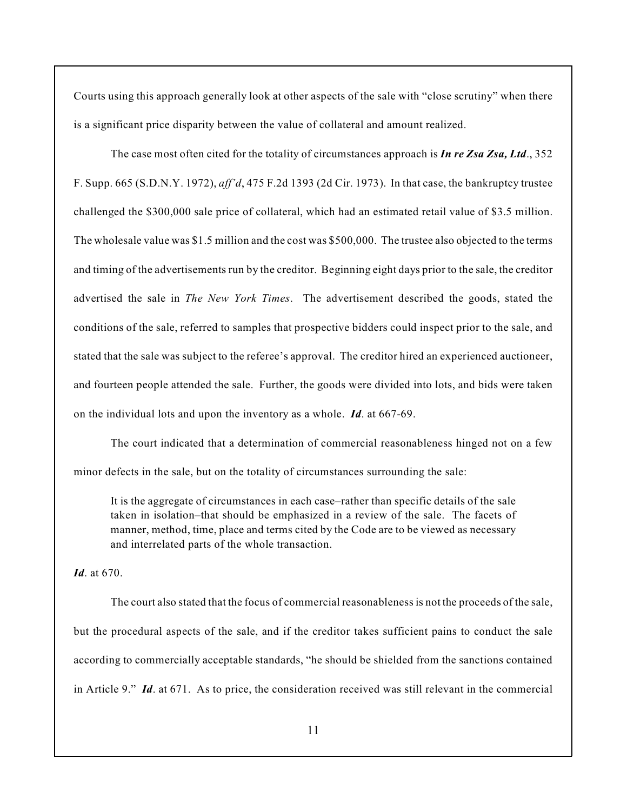Courts using this approach generally look at other aspects of the sale with "close scrutiny" when there is a significant price disparity between the value of collateral and amount realized.

The case most often cited for the totality of circumstances approach is *In re Zsa Zsa, Ltd*., 352 F. Supp. 665 (S.D.N.Y. 1972), *aff'd*, 475 F.2d 1393 (2d Cir. 1973). In that case, the bankruptcy trustee challenged the \$300,000 sale price of collateral, which had an estimated retail value of \$3.5 million. The wholesale value was \$1.5 million and the cost was \$500,000. The trustee also objected to the terms and timing of the advertisements run by the creditor. Beginning eight days prior to the sale, the creditor advertised the sale in *The New York Times*. The advertisement described the goods, stated the conditions of the sale, referred to samples that prospective bidders could inspect prior to the sale, and stated that the sale was subject to the referee's approval. The creditor hired an experienced auctioneer, and fourteen people attended the sale. Further, the goods were divided into lots, and bids were taken on the individual lots and upon the inventory as a whole. *Id*. at 667-69.

The court indicated that a determination of commercial reasonableness hinged not on a few minor defects in the sale, but on the totality of circumstances surrounding the sale:

It is the aggregate of circumstances in each case–rather than specific details of the sale taken in isolation–that should be emphasized in a review of the sale. The facets of manner, method, time, place and terms cited by the Code are to be viewed as necessary and interrelated parts of the whole transaction.

# *Id*. at 670.

The court also stated that the focus of commercial reasonableness is not the proceeds of the sale, but the procedural aspects of the sale, and if the creditor takes sufficient pains to conduct the sale according to commercially acceptable standards, "he should be shielded from the sanctions contained in Article 9." *Id*. at 671. As to price, the consideration received was still relevant in the commercial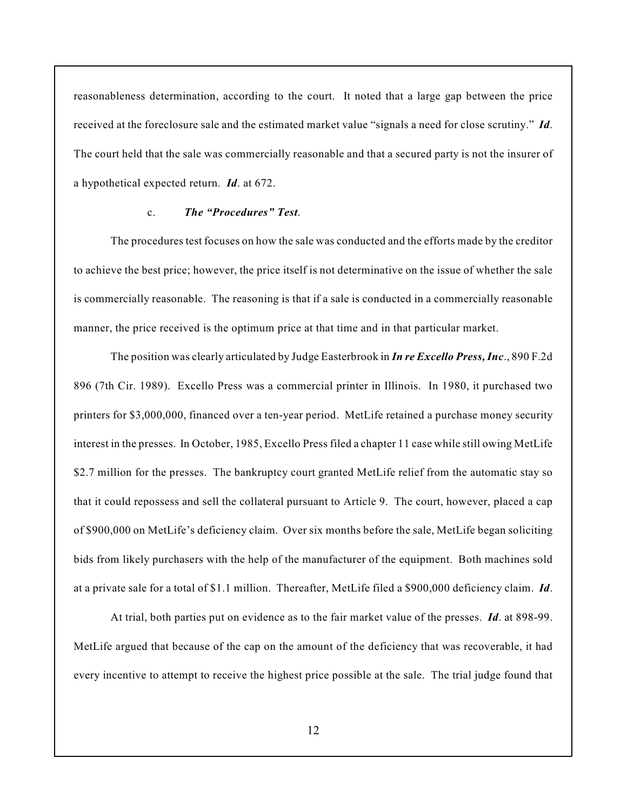reasonableness determination, according to the court. It noted that a large gap between the price received at the foreclosure sale and the estimated market value "signals a need for close scrutiny." *Id*. The court held that the sale was commercially reasonable and that a secured party is not the insurer of a hypothetical expected return. *Id*. at 672.

# c. *The "Procedures" Test*.

The procedures test focuses on how the sale was conducted and the efforts made by the creditor to achieve the best price; however, the price itself is not determinative on the issue of whether the sale is commercially reasonable. The reasoning is that if a sale is conducted in a commercially reasonable manner, the price received is the optimum price at that time and in that particular market.

The position was clearly articulated by Judge Easterbrook in *In re Excello Press, Inc*., 890 F.2d 896 (7th Cir. 1989). Excello Press was a commercial printer in Illinois. In 1980, it purchased two printers for \$3,000,000, financed over a ten-year period. MetLife retained a purchase money security interest in the presses. In October, 1985, Excello Press filed a chapter 11 case while still owing MetLife \$2.7 million for the presses. The bankruptcy court granted MetLife relief from the automatic stay so that it could repossess and sell the collateral pursuant to Article 9. The court, however, placed a cap of \$900,000 on MetLife's deficiency claim. Over six months before the sale, MetLife began soliciting bids from likely purchasers with the help of the manufacturer of the equipment. Both machines sold at a private sale for a total of \$1.1 million. Thereafter, MetLife filed a \$900,000 deficiency claim. *Id*.

At trial, both parties put on evidence as to the fair market value of the presses. *Id*. at 898-99. MetLife argued that because of the cap on the amount of the deficiency that was recoverable, it had every incentive to attempt to receive the highest price possible at the sale. The trial judge found that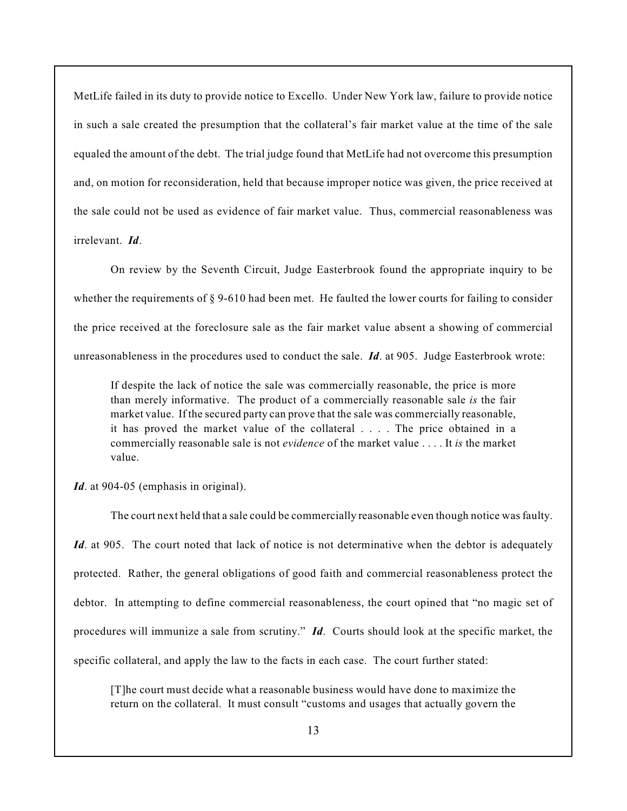MetLife failed in its duty to provide notice to Excello. Under New York law, failure to provide notice in such a sale created the presumption that the collateral's fair market value at the time of the sale equaled the amount of the debt. The trial judge found that MetLife had not overcome this presumption and, on motion for reconsideration, held that because improper notice was given, the price received at the sale could not be used as evidence of fair market value. Thus, commercial reasonableness was irrelevant. *Id*.

On review by the Seventh Circuit, Judge Easterbrook found the appropriate inquiry to be whether the requirements of § 9-610 had been met. He faulted the lower courts for failing to consider the price received at the foreclosure sale as the fair market value absent a showing of commercial unreasonableness in the procedures used to conduct the sale. *Id*. at 905. Judge Easterbrook wrote:

If despite the lack of notice the sale was commercially reasonable, the price is more than merely informative. The product of a commercially reasonable sale *is* the fair market value. If the secured party can prove that the sale was commercially reasonable, it has proved the market value of the collateral . . . . The price obtained in a commercially reasonable sale is not *evidence* of the market value . . . . It *is* the market value.

*Id*. at 904-05 (emphasis in original).

The court next held that a sale could be commercially reasonable even though notice was faulty. *Id.* at 905. The court noted that lack of notice is not determinative when the debtor is adequately protected. Rather, the general obligations of good faith and commercial reasonableness protect the debtor. In attempting to define commercial reasonableness, the court opined that "no magic set of procedures will immunize a sale from scrutiny." *Id*. Courts should look at the specific market, the specific collateral, and apply the law to the facts in each case. The court further stated:

[T]he court must decide what a reasonable business would have done to maximize the return on the collateral. It must consult "customs and usages that actually govern the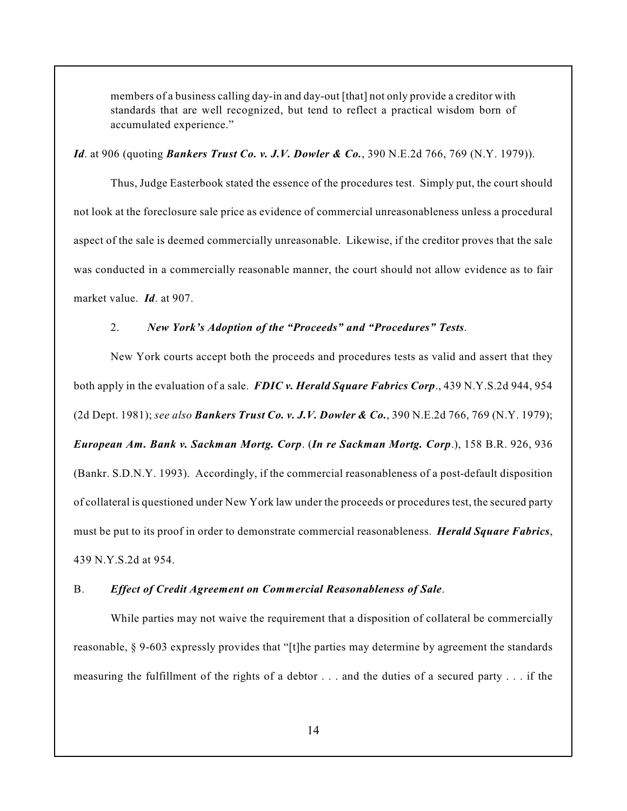members of a business calling day-in and day-out [that] not only provide a creditor with standards that are well recognized, but tend to reflect a practical wisdom born of accumulated experience."

### *Id.* at 906 (quoting *Bankers Trust Co. v. J.V. Dowler & Co.*, 390 N.E.2d 766, 769 (N.Y. 1979)).

Thus, Judge Easterbook stated the essence of the procedures test. Simply put, the court should not look at the foreclosure sale price as evidence of commercial unreasonableness unless a procedural aspect of the sale is deemed commercially unreasonable. Likewise, if the creditor proves that the sale was conducted in a commercially reasonable manner, the court should not allow evidence as to fair market value. *Id*. at 907.

# 2. *New York's Adoption of the "Proceeds" and "Procedures" Tests*.

New York courts accept both the proceeds and procedures tests as valid and assert that they both apply in the evaluation of a sale. *FDIC v. Herald Square Fabrics Corp*., 439 N.Y.S.2d 944, 954 (2d Dept. 1981); *see also Bankers Trust Co. v. J.V. Dowler & Co.*, 390 N.E.2d 766, 769 (N.Y. 1979); *European Am. Bank v. Sackman Mortg. Corp*. (*In re Sackman Mortg. Corp*.), 158 B.R. 926, 936 (Bankr. S.D.N.Y. 1993). Accordingly, if the commercial reasonableness of a post-default disposition of collateral is questioned under New York law under the proceeds or procedures test, the secured party must be put to its proof in order to demonstrate commercial reasonableness. *Herald Square Fabrics*, 439 N.Y.S.2d at 954.

#### B. *Effect of Credit Agreement on Commercial Reasonableness of Sale*.

While parties may not waive the requirement that a disposition of collateral be commercially reasonable, § 9-603 expressly provides that "[t]he parties may determine by agreement the standards measuring the fulfillment of the rights of a debtor . . . and the duties of a secured party . . . if the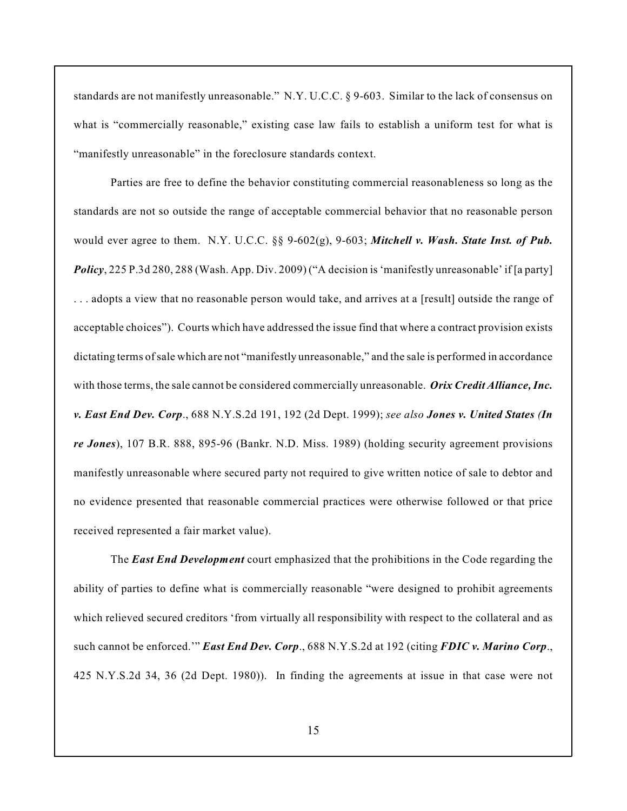standards are not manifestly unreasonable." N.Y. U.C.C. § 9-603. Similar to the lack of consensus on what is "commercially reasonable," existing case law fails to establish a uniform test for what is "manifestly unreasonable" in the foreclosure standards context.

Parties are free to define the behavior constituting commercial reasonableness so long as the standards are not so outside the range of acceptable commercial behavior that no reasonable person would ever agree to them. N.Y. U.C.C. §§ 9-602(g), 9-603; *Mitchell v. Wash. State Inst. of Pub. Policy*, 225 P.3d 280, 288 (Wash. App. Div. 2009) ("A decision is 'manifestly unreasonable' if [a party] . . . adopts a view that no reasonable person would take, and arrives at a [result] outside the range of acceptable choices"). Courts which have addressed the issue find that where a contract provision exists dictating terms of sale which are not "manifestly unreasonable," and the sale is performed in accordance with those terms, the sale cannot be considered commercially unreasonable. *Orix Credit Alliance, Inc. v. East End Dev. Corp*., 688 N.Y.S.2d 191, 192 (2d Dept. 1999); *see also Jones v. United States (In re Jones*), 107 B.R. 888, 895-96 (Bankr. N.D. Miss. 1989) (holding security agreement provisions manifestly unreasonable where secured party not required to give written notice of sale to debtor and no evidence presented that reasonable commercial practices were otherwise followed or that price received represented a fair market value).

The *East End Development* court emphasized that the prohibitions in the Code regarding the ability of parties to define what is commercially reasonable "were designed to prohibit agreements which relieved secured creditors 'from virtually all responsibility with respect to the collateral and as such cannot be enforced.'" *East End Dev. Corp*., 688 N.Y.S.2d at 192 (citing *FDIC v. Marino Corp*., 425 N.Y.S.2d 34, 36 (2d Dept. 1980)). In finding the agreements at issue in that case were not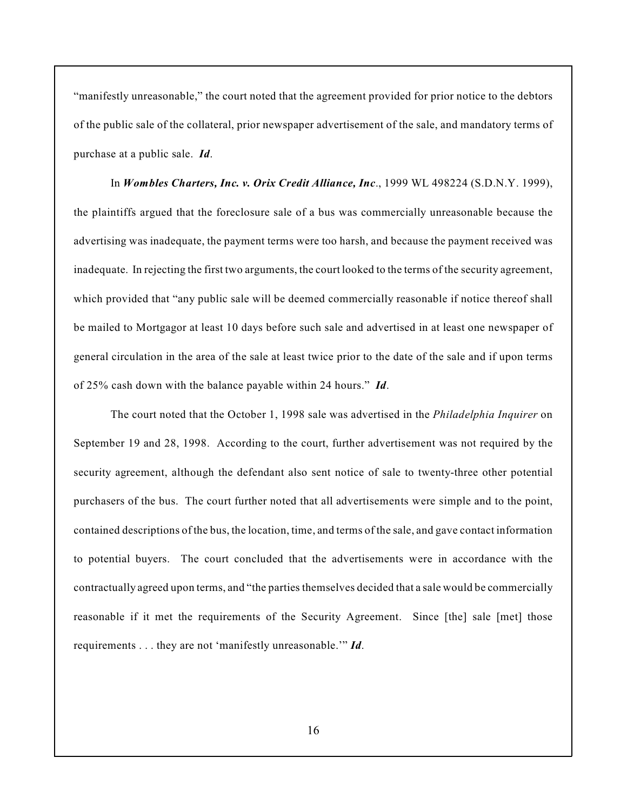"manifestly unreasonable," the court noted that the agreement provided for prior notice to the debtors of the public sale of the collateral, prior newspaper advertisement of the sale, and mandatory terms of purchase at a public sale. *Id*.

In *Wombles Charters, Inc. v. Orix Credit Alliance, Inc*., 1999 WL 498224 (S.D.N.Y. 1999), the plaintiffs argued that the foreclosure sale of a bus was commercially unreasonable because the advertising was inadequate, the payment terms were too harsh, and because the payment received was inadequate. In rejecting the first two arguments, the court looked to the terms of the security agreement, which provided that "any public sale will be deemed commercially reasonable if notice thereof shall be mailed to Mortgagor at least 10 days before such sale and advertised in at least one newspaper of general circulation in the area of the sale at least twice prior to the date of the sale and if upon terms of 25% cash down with the balance payable within 24 hours." *Id*.

The court noted that the October 1, 1998 sale was advertised in the *Philadelphia Inquirer* on September 19 and 28, 1998. According to the court, further advertisement was not required by the security agreement, although the defendant also sent notice of sale to twenty-three other potential purchasers of the bus. The court further noted that all advertisements were simple and to the point, contained descriptions of the bus, the location, time, and terms of the sale, and gave contact information to potential buyers. The court concluded that the advertisements were in accordance with the contractually agreed upon terms, and "the parties themselves decided that a sale would be commercially reasonable if it met the requirements of the Security Agreement. Since [the] sale [met] those requirements . . . they are not 'manifestly unreasonable.'" *Id*.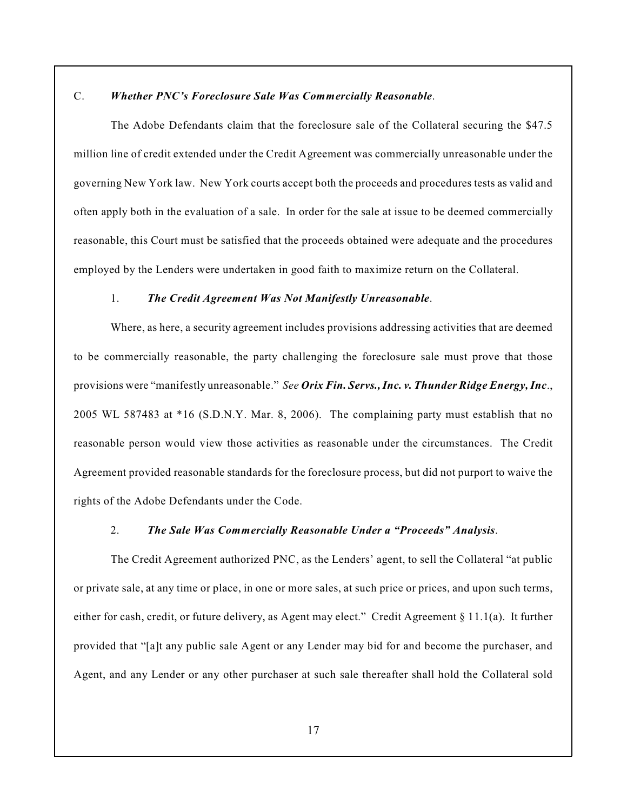# C. *Whether PNC's Foreclosure Sale Was Commercially Reasonable*.

The Adobe Defendants claim that the foreclosure sale of the Collateral securing the \$47.5 million line of credit extended under the Credit Agreement was commercially unreasonable under the governing New York law. New York courts accept both the proceeds and procedures tests as valid and often apply both in the evaluation of a sale. In order for the sale at issue to be deemed commercially reasonable, this Court must be satisfied that the proceeds obtained were adequate and the procedures employed by the Lenders were undertaken in good faith to maximize return on the Collateral.

# 1. *The Credit Agreement Was Not Manifestly Unreasonable*.

Where, as here, a security agreement includes provisions addressing activities that are deemed to be commercially reasonable, the party challenging the foreclosure sale must prove that those provisions were "manifestly unreasonable." *See Orix Fin. Servs.,Inc. v. Thunder Ridge Energy, Inc*., 2005 WL 587483 at \*16 (S.D.N.Y. Mar. 8, 2006). The complaining party must establish that no reasonable person would view those activities as reasonable under the circumstances. The Credit Agreement provided reasonable standards for the foreclosure process, but did not purport to waive the rights of the Adobe Defendants under the Code.

#### 2. *The Sale Was Commercially Reasonable Under a "Proceeds" Analysis*.

The Credit Agreement authorized PNC, as the Lenders' agent, to sell the Collateral "at public or private sale, at any time or place, in one or more sales, at such price or prices, and upon such terms, either for cash, credit, or future delivery, as Agent may elect." Credit Agreement § 11.1(a). It further provided that "[a]t any public sale Agent or any Lender may bid for and become the purchaser, and Agent, and any Lender or any other purchaser at such sale thereafter shall hold the Collateral sold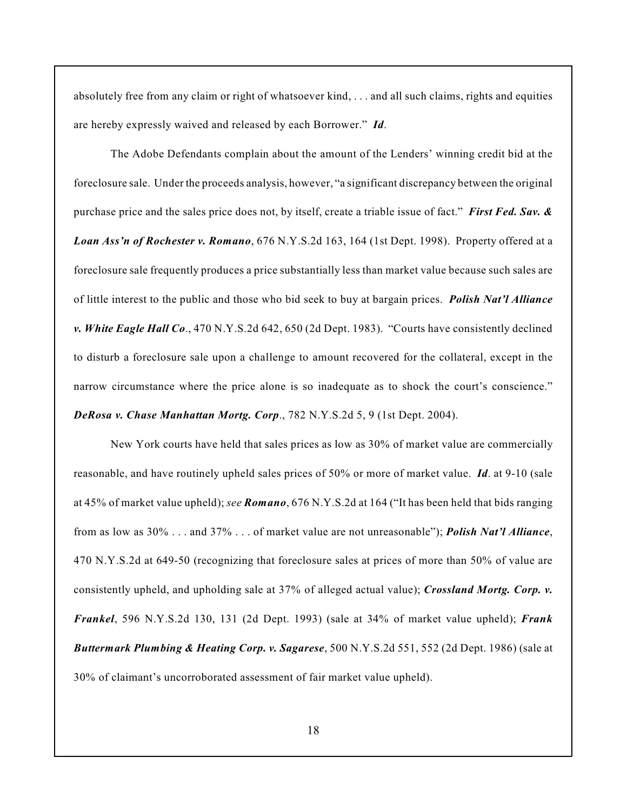absolutely free from any claim or right of whatsoever kind, . . . and all such claims, rights and equities are hereby expressly waived and released by each Borrower." *Id*.

The Adobe Defendants complain about the amount of the Lenders' winning credit bid at the foreclosure sale. Under the proceeds analysis, however, "a significant discrepancy between the original purchase price and the sales price does not, by itself, create a triable issue of fact." *First Fed. Sav. & Loan Ass'n of Rochester v. Romano*, 676 N.Y.S.2d 163, 164 (1st Dept. 1998). Property offered at a foreclosure sale frequently produces a price substantially less than market value because such sales are of little interest to the public and those who bid seek to buy at bargain prices. *Polish Nat'l Alliance v. White Eagle Hall Co*., 470 N.Y.S.2d 642, 650 (2d Dept. 1983). "Courts have consistently declined to disturb a foreclosure sale upon a challenge to amount recovered for the collateral, except in the narrow circumstance where the price alone is so inadequate as to shock the court's conscience." *DeRosa v. Chase Manhattan Mortg. Corp*., 782 N.Y.S.2d 5, 9 (1st Dept. 2004).

New York courts have held that sales prices as low as 30% of market value are commercially reasonable, and have routinely upheld sales prices of 50% or more of market value. *Id*. at 9-10 (sale at 45% of market value upheld); *see Romano*, 676 N.Y.S.2d at 164 ("It has been held that bids ranging from as low as 30% . . . and 37% . . . of market value are not unreasonable"); *Polish Nat'l Alliance*, 470 N.Y.S.2d at 649-50 (recognizing that foreclosure sales at prices of more than 50% of value are consistently upheld, and upholding sale at 37% of alleged actual value); *Crossland Mortg. Corp. v. Frankel*, 596 N.Y.S.2d 130, 131 (2d Dept. 1993) (sale at 34% of market value upheld); *Frank Buttermark Plumbing & Heating Corp. v. Sagarese*, 500 N.Y.S.2d 551, 552 (2d Dept. 1986) (sale at 30% of claimant's uncorroborated assessment of fair market value upheld).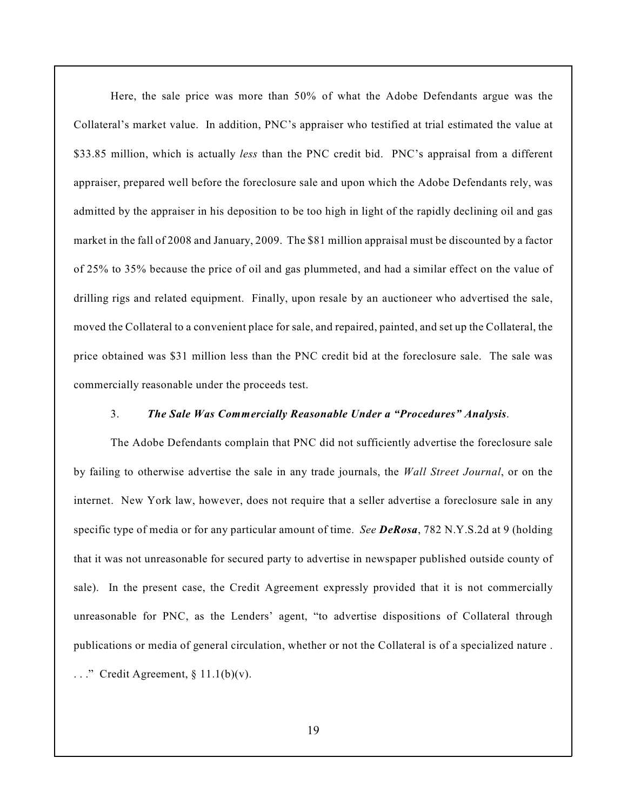Here, the sale price was more than 50% of what the Adobe Defendants argue was the Collateral's market value. In addition, PNC's appraiser who testified at trial estimated the value at \$33.85 million, which is actually *less* than the PNC credit bid. PNC's appraisal from a different appraiser, prepared well before the foreclosure sale and upon which the Adobe Defendants rely, was admitted by the appraiser in his deposition to be too high in light of the rapidly declining oil and gas market in the fall of 2008 and January, 2009. The \$81 million appraisal must be discounted by a factor of 25% to 35% because the price of oil and gas plummeted, and had a similar effect on the value of drilling rigs and related equipment. Finally, upon resale by an auctioneer who advertised the sale, moved the Collateral to a convenient place for sale, and repaired, painted, and set up the Collateral, the price obtained was \$31 million less than the PNC credit bid at the foreclosure sale. The sale was commercially reasonable under the proceeds test.

#### 3. *The Sale Was Commercially Reasonable Under a "Procedures" Analysis*.

The Adobe Defendants complain that PNC did not sufficiently advertise the foreclosure sale by failing to otherwise advertise the sale in any trade journals, the *Wall Street Journal*, or on the internet. New York law, however, does not require that a seller advertise a foreclosure sale in any specific type of media or for any particular amount of time. *See DeRosa*, 782 N.Y.S.2d at 9 (holding that it was not unreasonable for secured party to advertise in newspaper published outside county of sale). In the present case, the Credit Agreement expressly provided that it is not commercially unreasonable for PNC, as the Lenders' agent, "to advertise dispositions of Collateral through publications or media of general circulation, whether or not the Collateral is of a specialized nature .

 $\ldots$ ." Credit Agreement, § 11.1(b)(v).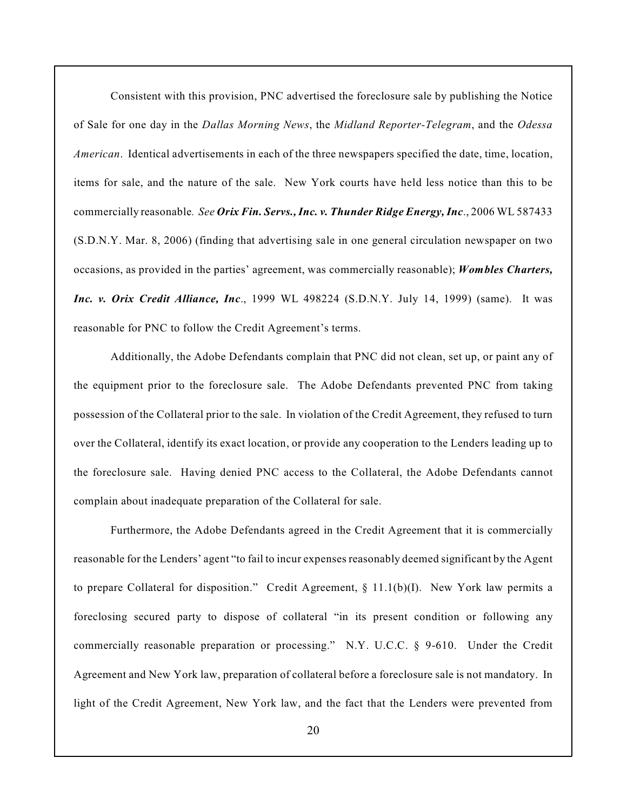Consistent with this provision, PNC advertised the foreclosure sale by publishing the Notice of Sale for one day in the *Dallas Morning News*, the *Midland Reporter-Telegram*, and the *Odessa American*. Identical advertisements in each of the three newspapers specified the date, time, location, items for sale, and the nature of the sale. New York courts have held less notice than this to be commercially reasonable*. See Orix Fin. Servs., Inc. v. Thunder Ridge Energy, Inc*., 2006 WL 587433 (S.D.N.Y. Mar. 8, 2006) (finding that advertising sale in one general circulation newspaper on two occasions, as provided in the parties' agreement, was commercially reasonable); *Wombles Charters, Inc. v. Orix Credit Alliance, Inc*., 1999 WL 498224 (S.D.N.Y. July 14, 1999) (same). It was reasonable for PNC to follow the Credit Agreement's terms.

Additionally, the Adobe Defendants complain that PNC did not clean, set up, or paint any of the equipment prior to the foreclosure sale. The Adobe Defendants prevented PNC from taking possession of the Collateral prior to the sale. In violation of the Credit Agreement, they refused to turn over the Collateral, identify its exact location, or provide any cooperation to the Lenders leading up to the foreclosure sale. Having denied PNC access to the Collateral, the Adobe Defendants cannot complain about inadequate preparation of the Collateral for sale.

Furthermore, the Adobe Defendants agreed in the Credit Agreement that it is commercially reasonable for the Lenders' agent "to fail to incur expenses reasonably deemed significant by the Agent to prepare Collateral for disposition." Credit Agreement, § 11.1(b)(I). New York law permits a foreclosing secured party to dispose of collateral "in its present condition or following any commercially reasonable preparation or processing." N.Y. U.C.C.  $\S$  9-610. Under the Credit Agreement and New York law, preparation of collateral before a foreclosure sale is not mandatory. In light of the Credit Agreement, New York law, and the fact that the Lenders were prevented from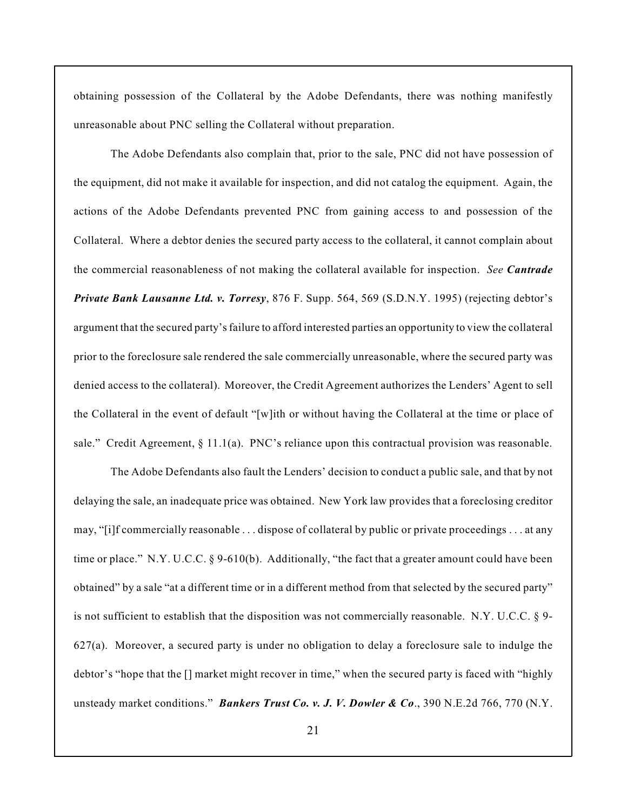obtaining possession of the Collateral by the Adobe Defendants, there was nothing manifestly unreasonable about PNC selling the Collateral without preparation.

The Adobe Defendants also complain that, prior to the sale, PNC did not have possession of the equipment, did not make it available for inspection, and did not catalog the equipment. Again, the actions of the Adobe Defendants prevented PNC from gaining access to and possession of the Collateral. Where a debtor denies the secured party access to the collateral, it cannot complain about the commercial reasonableness of not making the collateral available for inspection. *See Cantrade Private Bank Lausanne Ltd. v. Torresy*, 876 F. Supp. 564, 569 (S.D.N.Y. 1995) (rejecting debtor's argument that the secured party's failure to afford interested parties an opportunity to view the collateral prior to the foreclosure sale rendered the sale commercially unreasonable, where the secured party was denied access to the collateral). Moreover, the Credit Agreement authorizes the Lenders' Agent to sell the Collateral in the event of default "[w]ith or without having the Collateral at the time or place of sale." Credit Agreement,  $\S 11.1(a)$ . PNC's reliance upon this contractual provision was reasonable.

The Adobe Defendants also fault the Lenders' decision to conduct a public sale, and that by not delaying the sale, an inadequate price was obtained. New York law provides that a foreclosing creditor may, "[i]f commercially reasonable . . . dispose of collateral by public or private proceedings . . . at any time or place." N.Y. U.C.C. § 9-610(b). Additionally, "the fact that a greater amount could have been obtained" by a sale "at a different time or in a different method from that selected by the secured party" is not sufficient to establish that the disposition was not commercially reasonable. N.Y. U.C.C.  $\S$ 9-627(a). Moreover, a secured party is under no obligation to delay a foreclosure sale to indulge the debtor's "hope that the [] market might recover in time," when the secured party is faced with "highly unsteady market conditions." *Bankers Trust Co. v. J. V. Dowler & Co*., 390 N.E.2d 766, 770 (N.Y.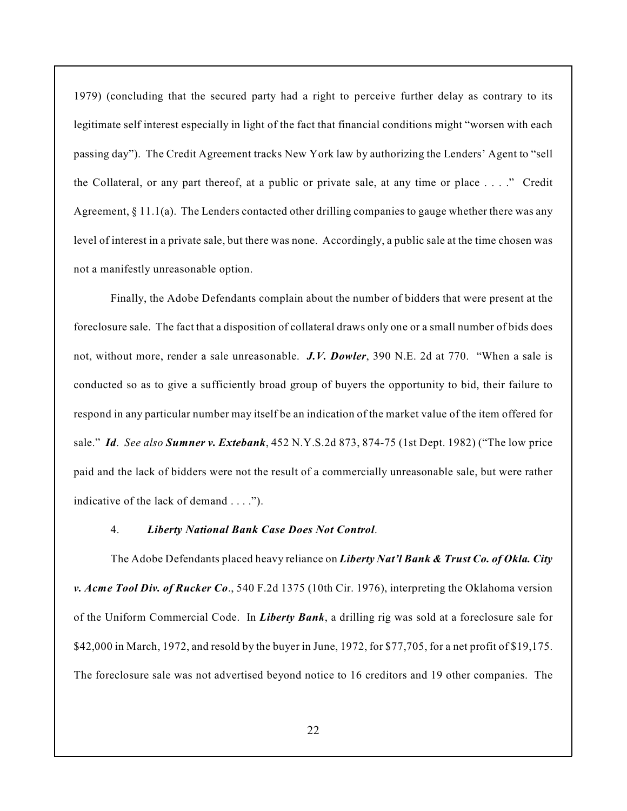1979) (concluding that the secured party had a right to perceive further delay as contrary to its legitimate self interest especially in light of the fact that financial conditions might "worsen with each passing day"). The Credit Agreement tracks New York law by authorizing the Lenders' Agent to "sell the Collateral, or any part thereof, at a public or private sale, at any time or place . . . ." Credit Agreement,  $\S 11.1(a)$ . The Lenders contacted other drilling companies to gauge whether there was any level of interest in a private sale, but there was none. Accordingly, a public sale at the time chosen was not a manifestly unreasonable option.

Finally, the Adobe Defendants complain about the number of bidders that were present at the foreclosure sale. The fact that a disposition of collateral draws only one or a small number of bids does not, without more, render a sale unreasonable. *J.V. Dowler*, 390 N.E. 2d at 770. "When a sale is conducted so as to give a sufficiently broad group of buyers the opportunity to bid, their failure to respond in any particular number may itself be an indication of the market value of the item offered for sale." *Id*. *See also Sumner v. Extebank*, 452 N.Y.S.2d 873, 874-75 (1st Dept. 1982) ("The low price paid and the lack of bidders were not the result of a commercially unreasonable sale, but were rather indicative of the lack of demand . . . .").

#### 4. *Liberty National Bank Case Does Not Control*.

The Adobe Defendants placed heavy reliance on *Liberty Nat'l Bank & Trust Co. of Okla. City v. Acme Tool Div. of Rucker Co*., 540 F.2d 1375 (10th Cir. 1976), interpreting the Oklahoma version of the Uniform Commercial Code. In *Liberty Bank*, a drilling rig was sold at a foreclosure sale for \$42,000 in March, 1972, and resold by the buyer in June, 1972, for \$77,705, for a net profit of \$19,175. The foreclosure sale was not advertised beyond notice to 16 creditors and 19 other companies. The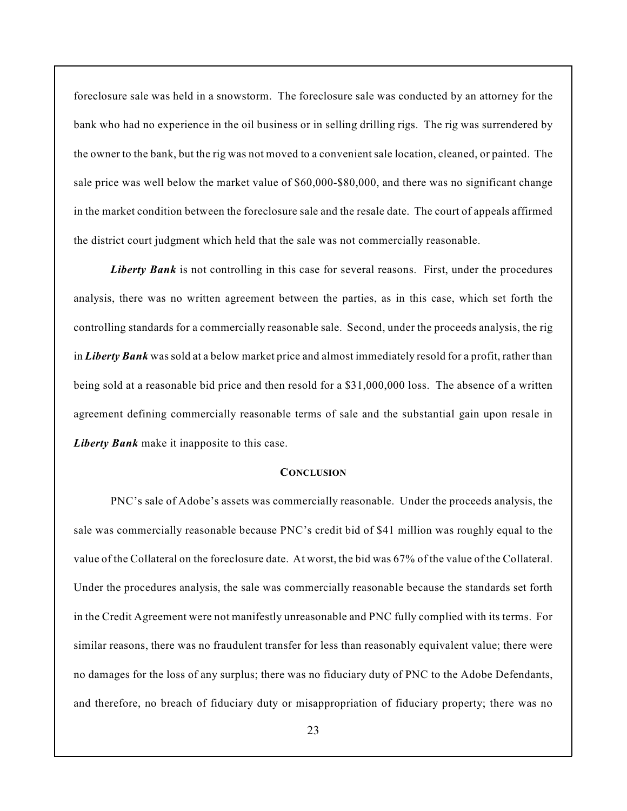foreclosure sale was held in a snowstorm. The foreclosure sale was conducted by an attorney for the bank who had no experience in the oil business or in selling drilling rigs. The rig was surrendered by the owner to the bank, but the rig was not moved to a convenient sale location, cleaned, or painted. The sale price was well below the market value of \$60,000-\$80,000, and there was no significant change in the market condition between the foreclosure sale and the resale date. The court of appeals affirmed the district court judgment which held that the sale was not commercially reasonable.

*Liberty Bank* is not controlling in this case for several reasons. First, under the procedures analysis, there was no written agreement between the parties, as in this case, which set forth the controlling standards for a commercially reasonable sale. Second, under the proceeds analysis, the rig in *Liberty Bank* was sold at a below market price and almost immediately resold for a profit, rather than being sold at a reasonable bid price and then resold for a \$31,000,000 loss. The absence of a written agreement defining commercially reasonable terms of sale and the substantial gain upon resale in *Liberty Bank* make it inapposite to this case.

#### **CONCLUSION**

PNC's sale of Adobe's assets was commercially reasonable. Under the proceeds analysis, the sale was commercially reasonable because PNC's credit bid of \$41 million was roughly equal to the value of the Collateral on the foreclosure date. At worst, the bid was 67% of the value of the Collateral. Under the procedures analysis, the sale was commercially reasonable because the standards set forth in the Credit Agreement were not manifestly unreasonable and PNC fully complied with its terms. For similar reasons, there was no fraudulent transfer for less than reasonably equivalent value; there were no damages for the loss of any surplus; there was no fiduciary duty of PNC to the Adobe Defendants, and therefore, no breach of fiduciary duty or misappropriation of fiduciary property; there was no